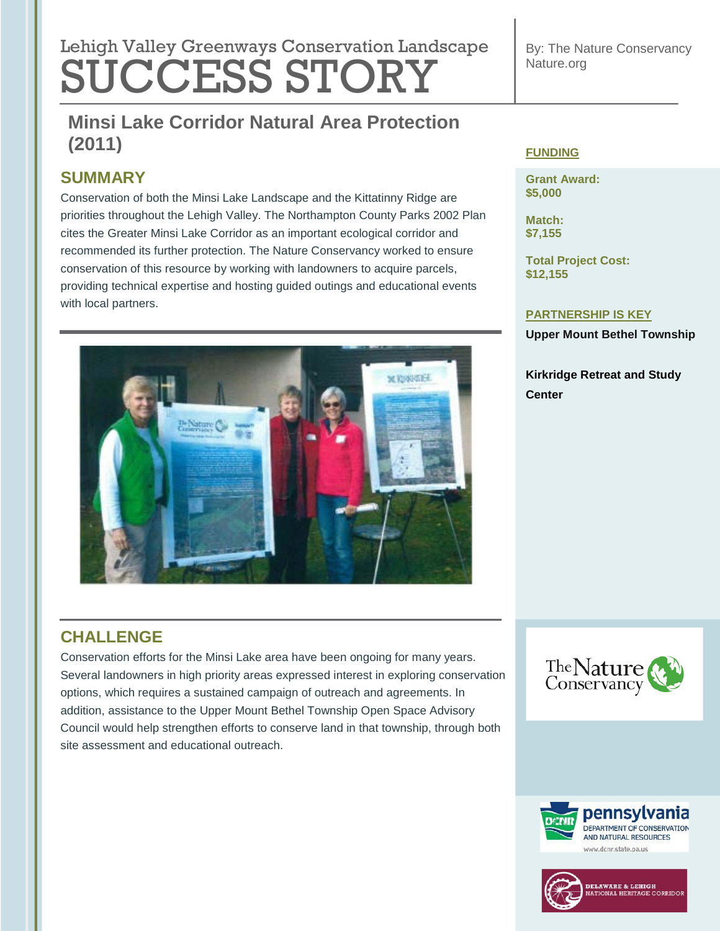# **Lebish Velley Que environmental regulation Lengtheres** Lehigh Valley Greenways Conservation Landscape SUCCESS STORY

By: The Nature Conservancy Nature.org

## **Minsi Lake Corridor Natural Area Protection Tree Revitalization (2011) (2011)**

## **SUMMARY**

Conservation of both the Minsi Lake Landscape and the Kittatinny Ridge are priorities throughout the Lehigh Valley. The Northampton County Parks 2002 Plan cites the Greater Minsi Lake Corridor as an important ecological corridor and recommended its further protection. The Nature Conservancy worked to ensure conservation of this resource by working with landowners to acquire parcels, providing technical expertise and hosting guided outings and educational events with local partners.



#### **FUNDING**

**Grant Award: \$5,000**

**Match: \$7,155**

**Total Project Cost: \$12,155**

#### **PARTNERSHIP IS KEY**

**Upper Mount Bethel Township**

**Kirkridge Retreat and Study Center**

## **CHALLENGE**

Conservation efforts for the Minsi Lake area have been ongoing for many years. Several landowners in high priority areas expressed interest in exploring conservation options, which requires a sustained campaign of outreach and agreements. In addition, assistance to the Upper Mount Bethel Township Open Space Advisory Council would help strengthen efforts to conserve land in that township, through both site assessment and educational outreach.